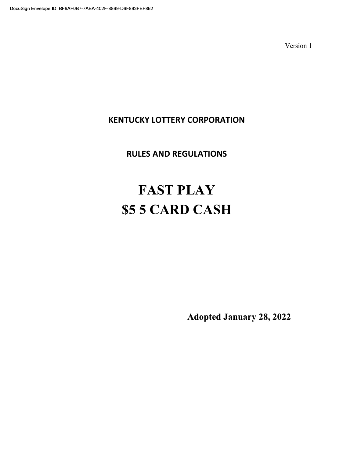# KENTUCKY LOTTERY CORPORATION

# RULES AND REGULATIONS

# FAST PLAY \$5 5 CARD CASH

Adopted January 28, 2022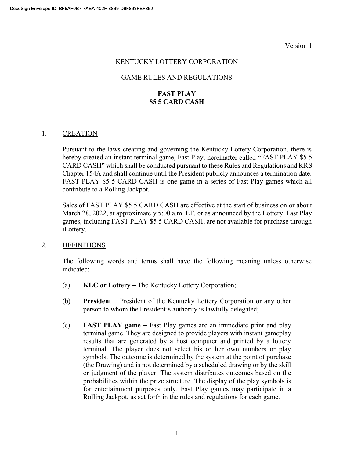#### KENTUCKY LOTTERY CORPORATION

### GAME RULES AND REGULATIONS

# FAST PLAY \$5 5 CARD CASH

#### 1. CREATION

Pursuant to the laws creating and governing the Kentucky Lottery Corporation, there is hereby created an instant terminal game, Fast Play, hereinafter called "FAST PLAY \$5 5 CARD CASH" which shall be conducted pursuant to these Rules and Regulations and KRS Chapter 154A and shall continue until the President publicly announces a termination date. FAST PLAY \$5 5 CARD CASH is one game in a series of Fast Play games which all contribute to a Rolling Jackpot.

Sales of FAST PLAY \$5 5 CARD CASH are effective at the start of business on or about March 28, 2022, at approximately 5:00 a.m. ET, or as announced by the Lottery. Fast Play games, including FAST PLAY \$5 5 CARD CASH, are not available for purchase through iLottery.

#### 2. DEFINITIONS

The following words and terms shall have the following meaning unless otherwise indicated:

- (a)  $KLC$  or Lottery The Kentucky Lottery Corporation;
- (b) President President of the Kentucky Lottery Corporation or any other person to whom the President's authority is lawfully delegated;
- $\epsilon$  FAST PLAY game Fast Play games are an immediate print and play terminal game. They are designed to provide players with instant gameplay results that are generated by a host computer and printed by a lottery terminal. The player does not select his or her own numbers or play symbols. The outcome is determined by the system at the point of purchase (the Drawing) and is not determined by a scheduled drawing or by the skill or judgment of the player. The system distributes outcomes based on the probabilities within the prize structure. The display of the play symbols is for entertainment purposes only. Fast Play games may participate in a Rolling Jackpot, as set forth in the rules and regulations for each game.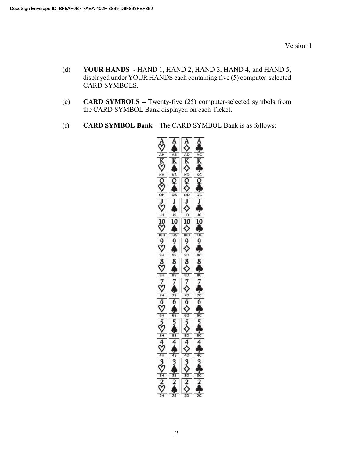- (d) YOUR HANDS HAND 1, HAND 2, HAND 3, HAND 4, and HAND 5, displayed under YOUR HANDS each containing five (5) computer-selected CARD SYMBOLS.
- (e) **CARD SYMBOLS** Twenty-five  $(25)$  computer-selected symbols from the CARD SYMBOL Bank displayed on each Ticket.
- (f)  $CARD SYMBOL Bank The CARD SYMBOL Bank is as follows:$

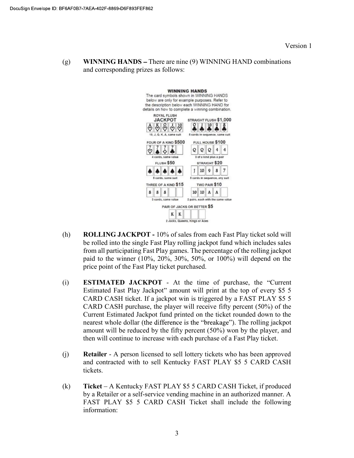(g) WINNING HANDS – There are nine  $(9)$  WINNING HAND combinations and corresponding prizes as follows:



- (h) ROLLING JACKPOT 10% of sales from each Fast Play ticket sold will be rolled into the single Fast Play rolling jackpot fund which includes sales from all participating Fast Play games. The percentage of the rolling jackpot paid to the winner (10%, 20%, 30%, 50%, or 100%) will depend on the price point of the Fast Play ticket purchased.
- (i) **ESTIMATED JACKPOT** At the time of purchase, the "Current Estimated Fast Play Jackpot" amount will print at the top of every \$5 5 CARD CASH ticket. If a jackpot win is triggered by a FAST PLAY \$5 5 CARD CASH purchase, the player will receive fifty percent (50%) of the Current Estimated Jackpot fund printed on the ticket rounded down to the nearest whole dollar (the difference is the "breakage"). The rolling jackpot amount will be reduced by the fifty percent (50%) won by the player, and then will continue to increase with each purchase of a Fast Play ticket.
- (j) Retailer A person licensed to sell lottery tickets who has been approved and contracted with to sell Kentucky FAST PLAY \$5 5 CARD CASH tickets.
- (k) Ticket A Kentucky FAST PLAY \$5 5 CARD CASH Ticket, if produced by a Retailer or a self-service vending machine in an authorized manner. A FAST PLAY \$5 5 CARD CASH Ticket shall include the following information: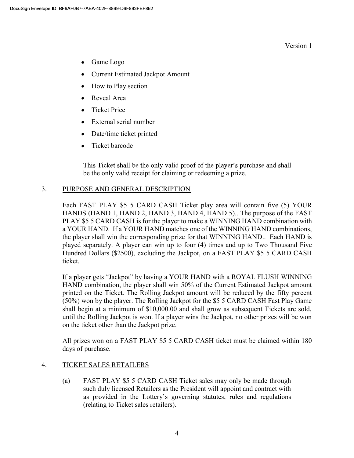- Game Logo
- Current Estimated Jackpot Amount
- How to Play section
- Reveal Area
- Ticket Price
- External serial number
- Date/time ticket printed
- Ticket barcode

This Ticket shall be the only valid proof of the player's purchase and shall be the only valid receipt for claiming or redeeming a prize.

#### 3. PURPOSE AND GENERAL DESCRIPTION

Each FAST PLAY \$5 5 CARD CASH Ticket play area will contain five (5) YOUR HANDS (HAND 1, HAND 2, HAND 3, HAND 4, HAND 5).. The purpose of the FAST PLAY \$5 5 CARD CASH is for the player to make a WINNING HAND combination with a YOUR HAND. If a YOUR HAND matches one of the WINNING HAND combinations, the player shall win the corresponding prize for that WINNING HAND.. Each HAND is played separately. A player can win up to four (4) times and up to Two Thousand Five Hundred Dollars (\$2500), excluding the Jackpot, on a FAST PLAY \$5 5 CARD CASH ticket.

If a player gets "Jackpot" by having a YOUR HAND with a ROYAL FLUSH WINNING HAND combination, the player shall win 50% of the Current Estimated Jackpot amount printed on the Ticket. The Rolling Jackpot amount will be reduced by the fifty percent (50%) won by the player. The Rolling Jackpot for the \$5 5 CARD CASH Fast Play Game shall begin at a minimum of \$10,000.00 and shall grow as subsequent Tickets are sold, until the Rolling Jackpot is won. If a player wins the Jackpot, no other prizes will be won on the ticket other than the Jackpot prize.

All prizes won on a FAST PLAY \$5 5 CARD CASH ticket must be claimed within 180 days of purchase.

#### 4. TICKET SALES RETAILERS

(a) FAST PLAY \$5 5 CARD CASH Ticket sales may only be made through such duly licensed Retailers as the President will appoint and contract with as provided in the Lottery's governing statutes, rules and regulations (relating to Ticket sales retailers).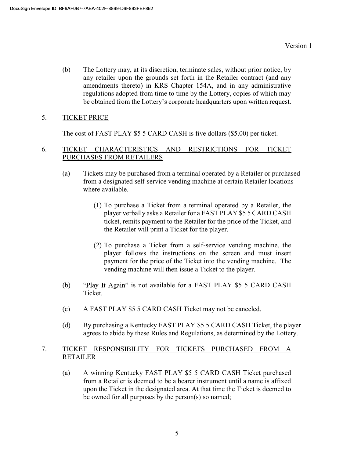(b) The Lottery may, at its discretion, terminate sales, without prior notice, by any retailer upon the grounds set forth in the Retailer contract (and any amendments thereto) in KRS Chapter 154A, and in any administrative regulations adopted from time to time by the Lottery, copies of which may be obtained from the Lottery's corporate headquarters upon written request.

# 5. TICKET PRICE

The cost of FAST PLAY \$5 5 CARD CASH is five dollars (\$5.00) per ticket.

#### 6. TICKET CHARACTERISTICS AND RESTRICTIONS FOR TICKET PURCHASES FROM RETAILERS

- (a) Tickets may be purchased from a terminal operated by a Retailer or purchased from a designated self-service vending machine at certain Retailer locations where available.
	- (1) To purchase a Ticket from a terminal operated by a Retailer, the player verbally asks a Retailer for a FAST PLAY \$5 5 CARD CASH ticket, remits payment to the Retailer for the price of the Ticket, and the Retailer will print a Ticket for the player.
	- (2) To purchase a Ticket from a self-service vending machine, the player follows the instructions on the screen and must insert payment for the price of the Ticket into the vending machine. The vending machine will then issue a Ticket to the player.
- (b) "Play It Again" is not available for a FAST PLAY \$5 5 CARD CASH Ticket.
- (c) A FAST PLAY \$5 5 CARD CASH Ticket may not be canceled.
- (d) By purchasing a Kentucky FAST PLAY \$5 5 CARD CASH Ticket, the player agrees to abide by these Rules and Regulations, as determined by the Lottery.

# 7. TICKET RESPONSIBILITY FOR TICKETS PURCHASED FROM A RETAILER

(a) A winning Kentucky FAST PLAY \$5 5 CARD CASH Ticket purchased from a Retailer is deemed to be a bearer instrument until a name is affixed upon the Ticket in the designated area. At that time the Ticket is deemed to be owned for all purposes by the person(s) so named;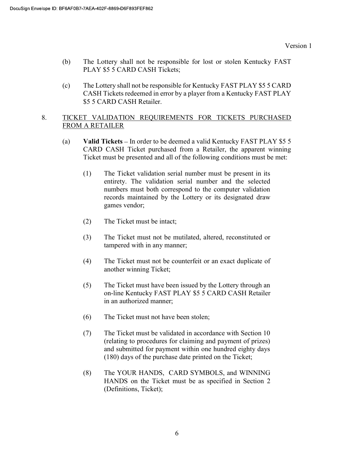- (b) The Lottery shall not be responsible for lost or stolen Kentucky FAST PLAY \$5 5 CARD CASH Tickets;
- (c) The Lottery shall not be responsible for Kentucky FAST PLAY \$5 5 CARD CASH Tickets redeemed in error by a player from a Kentucky FAST PLAY \$5 5 CARD CASH Retailer.

### 8. TICKET VALIDATION REQUIREMENTS FOR TICKETS PURCHASED FROM A RETAILER

- (a) Valid Tickets In order to be deemed a valid Kentucky FAST PLAY  $$5 5$ CARD CASH Ticket purchased from a Retailer, the apparent winning Ticket must be presented and all of the following conditions must be met:
	- (1) The Ticket validation serial number must be present in its entirety. The validation serial number and the selected numbers must both correspond to the computer validation records maintained by the Lottery or its designated draw games vendor;
	- (2) The Ticket must be intact;
	- (3) The Ticket must not be mutilated, altered, reconstituted or tampered with in any manner;
	- (4) The Ticket must not be counterfeit or an exact duplicate of another winning Ticket;
	- (5) The Ticket must have been issued by the Lottery through an on-line Kentucky FAST PLAY \$5 5 CARD CASH Retailer in an authorized manner;
	- (6) The Ticket must not have been stolen;
	- (7) The Ticket must be validated in accordance with Section 10 (relating to procedures for claiming and payment of prizes) and submitted for payment within one hundred eighty days (180) days of the purchase date printed on the Ticket;
	- (8) The YOUR HANDS, CARD SYMBOLS, and WINNING HANDS on the Ticket must be as specified in Section 2 (Definitions, Ticket);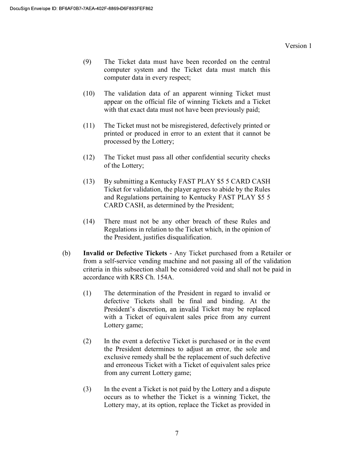- (9) The Ticket data must have been recorded on the central computer system and the Ticket data must match this computer data in every respect;
- (10) The validation data of an apparent winning Ticket must appear on the official file of winning Tickets and a Ticket with that exact data must not have been previously paid;
- (11) The Ticket must not be misregistered, defectively printed or printed or produced in error to an extent that it cannot be processed by the Lottery;
- (12) The Ticket must pass all other confidential security checks of the Lottery;
- (13) By submitting a Kentucky FAST PLAY \$5 5 CARD CASH Ticket for validation, the player agrees to abide by the Rules and Regulations pertaining to Kentucky FAST PLAY \$5 5 CARD CASH, as determined by the President;
- (14) There must not be any other breach of these Rules and Regulations in relation to the Ticket which, in the opinion of the President, justifies disqualification.
- (b) Invalid or Defective Tickets Any Ticket purchased from a Retailer or from a self-service vending machine and not passing all of the validation criteria in this subsection shall be considered void and shall not be paid in accordance with KRS Ch. 154A.
	- (1) The determination of the President in regard to invalid or defective Tickets shall be final and binding. At the President's discretion, an invalid Ticket may be replaced with a Ticket of equivalent sales price from any current Lottery game;
	- (2) In the event a defective Ticket is purchased or in the event the President determines to adjust an error, the sole and exclusive remedy shall be the replacement of such defective and erroneous Ticket with a Ticket of equivalent sales price from any current Lottery game;
	- (3) In the event a Ticket is not paid by the Lottery and a dispute occurs as to whether the Ticket is a winning Ticket, the Lottery may, at its option, replace the Ticket as provided in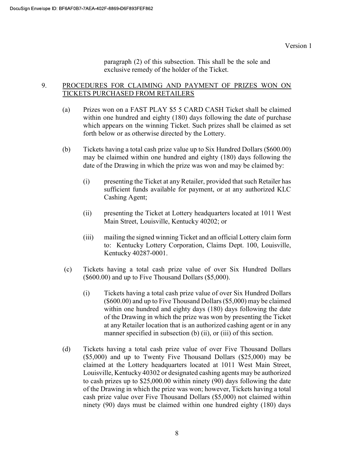paragraph (2) of this subsection. This shall be the sole and exclusive remedy of the holder of the Ticket.

#### 9. PROCEDURES FOR CLAIMING AND PAYMENT OF PRIZES WON ON TICKETS PURCHASED FROM RETAILERS

- (a) Prizes won on a FAST PLAY \$5 5 CARD CASH Ticket shall be claimed within one hundred and eighty (180) days following the date of purchase which appears on the winning Ticket. Such prizes shall be claimed as set forth below or as otherwise directed by the Lottery.
- (b) Tickets having a total cash prize value up to Six Hundred Dollars (\$600.00) may be claimed within one hundred and eighty (180) days following the date of the Drawing in which the prize was won and may be claimed by:
	- (i) presenting the Ticket at any Retailer, provided that such Retailer has sufficient funds available for payment, or at any authorized KLC Cashing Agent;
	- (ii) presenting the Ticket at Lottery headquarters located at 1011 West Main Street, Louisville, Kentucky 40202; or
	- (iii) mailing the signed winning Ticket and an official Lottery claim form to: Kentucky Lottery Corporation, Claims Dept. 100, Louisville, Kentucky 40287-0001.
- (c) Tickets having a total cash prize value of over Six Hundred Dollars (\$600.00) and up to Five Thousand Dollars (\$5,000).
	- (i) Tickets having a total cash prize value of over Six Hundred Dollars (\$600.00) and up to Five Thousand Dollars (\$5,000) may be claimed within one hundred and eighty days (180) days following the date of the Drawing in which the prize was won by presenting the Ticket at any Retailer location that is an authorized cashing agent or in any manner specified in subsection (b) (ii), or (iii) of this section.
- (d) Tickets having a total cash prize value of over Five Thousand Dollars (\$5,000) and up to Twenty Five Thousand Dollars (\$25,000) may be claimed at the Lottery headquarters located at 1011 West Main Street, Louisville, Kentucky 40302 or designated cashing agents may be authorized to cash prizes up to \$25,000.00 within ninety (90) days following the date of the Drawing in which the prize was won; however, Tickets having a total cash prize value over Five Thousand Dollars (\$5,000) not claimed within ninety (90) days must be claimed within one hundred eighty (180) days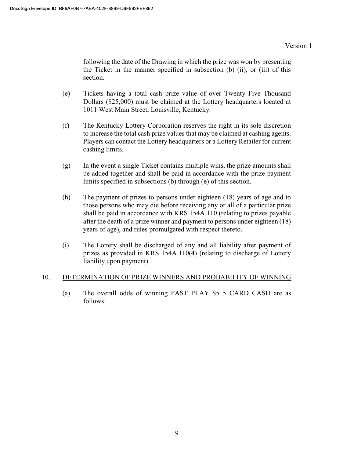following the date of the Drawing in which the prize was won by presenting the Ticket in the manner specified in subsection (b) (ii), or (iii) of this section.

- (e) Tickets having a total cash prize value of over Twenty Five Thousand Dollars (\$25,000) must be claimed at the Lottery headquarters located at 1011 West Main Street, Louisville, Kentucky.
- (f) The Kentucky Lottery Corporation reserves the right in its sole discretion to increase the total cash prize values that may be claimed at cashing agents. Players can contact the Lottery headquarters or a Lottery Retailer for current cashing limits.
- (g) In the event a single Ticket contains multiple wins, the prize amounts shall be added together and shall be paid in accordance with the prize payment limits specified in subsections (b) through (e) of this section.
- (h) The payment of prizes to persons under eighteen (18) years of age and to those persons who may die before receiving any or all of a particular prize shall be paid in accordance with KRS 154A.110 (relating to prizes payable after the death of a prize winner and payment to persons under eighteen (18) years of age), and rules promulgated with respect thereto.
- (i) The Lottery shall be discharged of any and all liability after payment of prizes as provided in KRS 154A.110(4) (relating to discharge of Lottery liability upon payment).

# 10. DETERMINATION OF PRIZE WINNERS AND PROBABILITY OF WINNING

(a) The overall odds of winning FAST PLAY \$5 5 CARD CASH are as follows: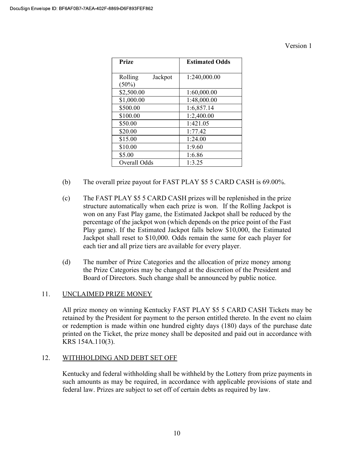| <b>Prize</b>                   | <b>Estimated Odds</b> |
|--------------------------------|-----------------------|
| Rolling<br>Jackpot<br>$(50\%)$ | 1:240,000.00          |
| \$2,500.00                     | 1:60,000.00           |
| \$1,000.00                     | 1:48,000.00           |
| \$500.00                       | 1:6,857.14            |
| \$100.00                       | 1:2,400.00            |
| \$50.00                        | 1:421.05              |
| \$20.00                        | 1:77.42               |
| \$15.00                        | 1:24.00               |
| \$10.00                        | 1:9.60                |
| \$5.00                         | 1:6.86                |
| Overall Odds                   | 1:3.25                |

- (b) The overall prize payout for FAST PLAY \$5 5 CARD CASH is 69.00%.
- (c) The FAST PLAY \$5 5 CARD CASH prizes will be replenished in the prize structure automatically when each prize is won. If the Rolling Jackpot is won on any Fast Play game, the Estimated Jackpot shall be reduced by the percentage of the jackpot won (which depends on the price point of the Fast Play game). If the Estimated Jackpot falls below \$10,000, the Estimated Jackpot shall reset to \$10,000. Odds remain the same for each player for each tier and all prize tiers are available for every player.
- (d) The number of Prize Categories and the allocation of prize money among the Prize Categories may be changed at the discretion of the President and Board of Directors. Such change shall be announced by public notice.

# 11. UNCLAIMED PRIZE MONEY

All prize money on winning Kentucky FAST PLAY \$5 5 CARD CASH Tickets may be retained by the President for payment to the person entitled thereto. In the event no claim or redemption is made within one hundred eighty days (180) days of the purchase date printed on the Ticket, the prize money shall be deposited and paid out in accordance with KRS 154A.110(3).

# 12. WITHHOLDING AND DEBT SET OFF

 Kentucky and federal withholding shall be withheld by the Lottery from prize payments in such amounts as may be required, in accordance with applicable provisions of state and federal law. Prizes are subject to set off of certain debts as required by law.